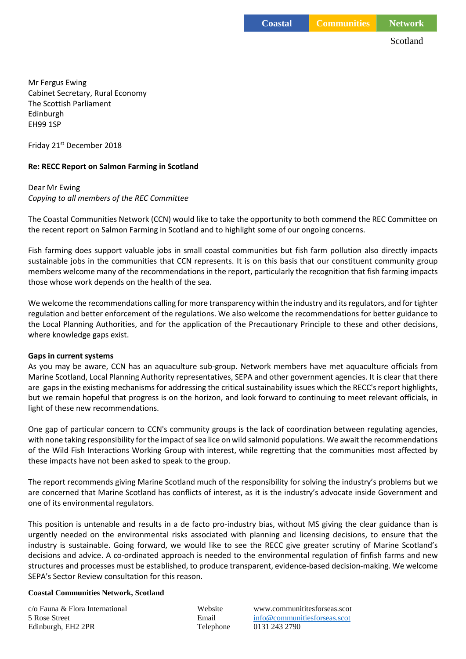Scotland

Mr Fergus Ewing Cabinet Secretary, Rural Economy The Scottish Parliament Edinburgh EH99 1SP

Friday 21st December 2018

# **Re: RECC Report on Salmon Farming in Scotland**

## Dear Mr Ewing *Copying to all members of the REC Committee*

The Coastal Communities Network (CCN) would like to take the opportunity to both commend the REC Committee on the recent report on Salmon Farming in Scotland and to highlight some of our ongoing concerns.

Fish farming does support valuable jobs in small coastal communities but fish farm pollution also directly impacts sustainable jobs in the communities that CCN represents. It is on this basis that our constituent community group members welcome many of the recommendations in the report, particularly the recognition that fish farming impacts those whose work depends on the health of the sea.

We welcome the recommendations calling for more transparency within the industry and its regulators, and for tighter regulation and better enforcement of the regulations. We also welcome the recommendations for better guidance to the Local Planning Authorities, and for the application of the Precautionary Principle to these and other decisions, where knowledge gaps exist.

#### **Gaps in current systems**

As you may be aware, CCN has an aquaculture sub-group. Network members have met aquaculture officials from Marine Scotland, Local Planning Authority representatives, SEPA and other government agencies. It is clear that there are gaps in the existing mechanisms for addressing the critical sustainability issues which the RECC's report highlights, but we remain hopeful that progress is on the horizon, and look forward to continuing to meet relevant officials, in light of these new recommendations.

One gap of particular concern to CCN's community groups is the lack of coordination between regulating agencies, with none taking responsibility for the impact of sea lice on wild salmonid populations. We await the recommendations of the Wild Fish Interactions Working Group with interest, while regretting that the communities most affected by these impacts have not been asked to speak to the group.

The report recommends giving Marine Scotland much of the responsibility for solving the industry's problems but we are concerned that Marine Scotland has conflicts of interest, as it is the industry's advocate inside Government and one of its environmental regulators.

This position is untenable and results in a de facto pro-industry bias, without MS giving the clear guidance than is urgently needed on the environmental risks associated with planning and licensing decisions, to ensure that the industry is sustainable. Going forward, we would like to see the RECC give greater scrutiny of Marine Scotland's decisions and advice. A co-ordinated approach is needed to the environmental regulation of finfish farms and new structures and processes must be established, to produce transparent, evidence-based decision-making. We welcome SEPA's Sector Review consultation for this reason.

#### **Coastal Communities Network, Scotland**

c/o Fauna & Flora International Website www.communititesforseas.scot Edinburgh, EH2 2PR Telephone 0131 243 2790

5 Rose Street Email [info@communitiesforseas.scot](mailto:info@communitiesforseas.scot)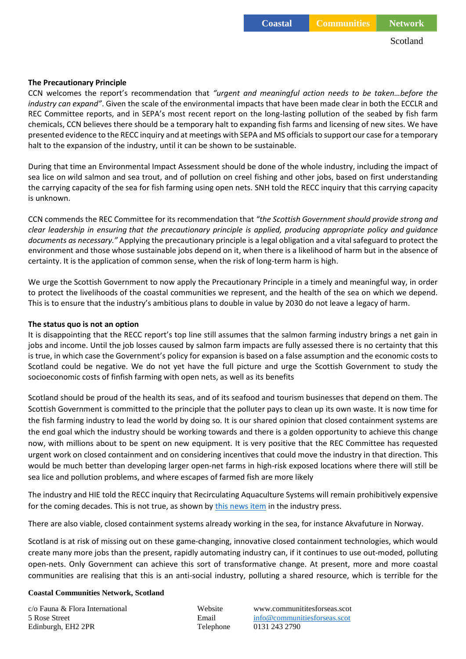### **The Precautionary Principle**

CCN welcomes the report's recommendation that *"urgent and meaningful action needs to be taken…before the industry can expand"*. Given the scale of the environmental impacts that have been made clear in both the ECCLR and REC Committee reports, and in SEPA's most recent report on the long-lasting pollution of the seabed by fish farm chemicals, CCN believes there should be a temporary halt to expanding fish farms and licensing of new sites. We have presented evidence to the RECC inquiry and at meetings with SEPA and MS officials to support our case for a temporary halt to the expansion of the industry, until it can be shown to be sustainable.

During that time an Environmental Impact Assessment should be done of the whole industry, including the impact of sea lice on *w*ild salmon and sea trout, and of pollution on creel fishing and other jobs, based on first understanding the carrying capacity of the sea for fish farming using open nets. SNH told the RECC inquiry that this carrying capacity is unknown.

CCN commends the REC Committee for its recommendation that *"the Scottish Government should provide strong and clear leadership in ensuring that the precautionary principle is applied, producing appropriate policy and guidance documents as necessary."* Applying the precautionary principle is a legal obligation and a vital safeguard to protect the environment and those whose sustainable jobs depend on it, when there is a likelihood of harm but in the absence of certainty. It is the application of common sense, when the risk of long-term harm is high.

We urge the Scottish Government to now apply the Precautionary Principle in a timely and meaningful way, in order to protect the livelihoods of the coastal communities we represent, and the health of the sea on which we depend. This is to ensure that the industry's ambitious plans to double in value by 2030 do not leave a legacy of harm.

#### **The status quo is not an option**

It is disappointing that the RECC report's top line still assumes that the salmon farming industry brings a net gain in jobs and income. Until the job losses caused by salmon farm impacts are fully assessed there is no certainty that this is true, in which case the Government's policy for expansion is based on a false assumption and the economic costs to Scotland could be negative. We do not yet have the full picture and urge the Scottish Government to study the socioeconomic costs of finfish farming with open nets, as well as its benefits

Scotland should be proud of the health its seas, and of its seafood and tourism businesses that depend on them. The Scottish Government is committed to the principle that the polluter pays to clean up its own waste. It is now time for the fish farming industry to lead the world by doing so. It is our shared opinion that closed containment systems are the end goal which the industry should be working towards and there is a golden opportunity to achieve this change now, with millions about to be spent on new equipment. It is very positive that the REC Committee has requested urgent work on closed containment and on considering incentives that could move the industry in that direction. This would be much better than developing larger open-net farms in high-risk exposed locations where there will still be sea lice and pollution problems, and where escapes of farmed fish are more likely

The industry and HIE told the RECC inquiry that Recirculating Aquaculture Systems will remain prohibitively expensive for the coming decades. This is not true, as shown by [this news item](https://www.fishfarmingexpert.com/article/can-pure-salmon-change-the-game-for-ras-grow-out/?utm_campaign=newsletter__12_12_2018&utm_source=netflex&utm_medium=email) in the industry press.

There are also viable, closed containment systems already working in the sea, for instance Akvafuture in Norway.

Scotland is at risk of missing out on these game-changing, innovative closed containment technologies, which would create many more jobs than the present, rapidly automating industry can, if it continues to use out-moded, polluting open-nets. Only Government can achieve this sort of transformative change. At present, more and more coastal communities are realising that this is an anti-social industry, polluting a shared resource, which is terrible for the

#### **Coastal Communities Network, Scotland**

c/o Fauna & Flora International Website www.communititesforseas.scot Edinburgh, EH2 2PR Telephone 0131 243 2790

5 Rose Street Email [info@communitiesforseas.scot](mailto:info@communitiesforseas.scot)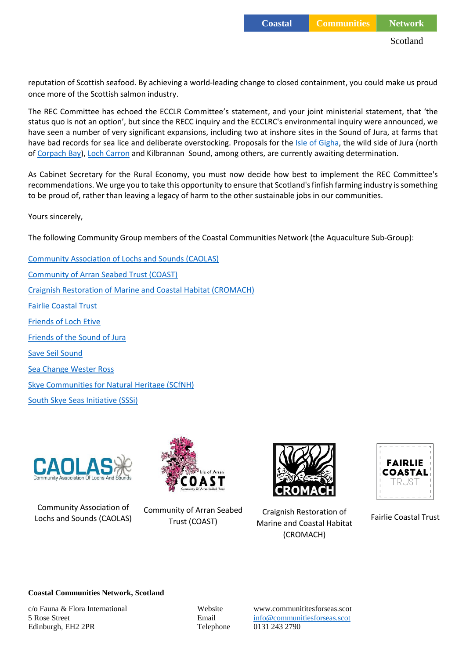reputation of Scottish seafood. By achieving a world-leading change to closed containment, you could make us proud once more of the Scottish salmon industry.

The REC Committee has echoed the ECCLR Committee's statement, and your joint ministerial statement, that 'the status quo is not an option', but since the RECC inquiry and the ECCLRC's environmental inquiry were announced, we have seen a number of very significant expansions, including two at inshore sites in the Sound of Jura, at farms that have bad records for sea lice and deliberate overstocking. Proposals for the [Isle of Gigha,](https://publicaccess.argyll-bute.gov.uk/online-applications/applicationDetails.do?activeTab=summary&keyVal=PBPAECCH0GB00) the wild side of Jura (north o[f Corpach Bay\)](https://publicaccess.argyll-bute.gov.uk/online-applications/applicationDetails.do?activeTab=summary&keyVal=PD1P8HCH0GD00), [Loch Carron](https://wam.highland.gov.uk/wam/applicationDetails.do?keyVal=PGQJ7JIH0FM00&activeTab=summary) and Kilbrannan Sound, among others, are currently awaiting determination.

As Cabinet Secretary for the Rural Economy, you must now decide how best to implement the REC Committee's recommendations. We urge you to take this opportunity to ensure that Scotland's finfish farming industry is something to be proud of, rather than leaving a legacy of harm to the other sustainable jobs in our communities.

Yours sincerely,

The following Community Group members of the Coastal Communities Network (the Aquaculture Sub-Group):

[Community Association of Lochs and Sounds \(CAOLAS\)](http://www.caolas.org/) [Community of Arran Seabed Trust \(COAST\)](http://arrancoast.com/) [Craignish Restoration of Marine and Coastal Habitat \(CROMACH\)](https://www.communitiesforseas.scot/about-the-network/community-groups/craignish-restoration-marine-coastal-habitat-cromach/) [Fairlie Coastal Trust](http://www.fairliecoastal.org/) [Friends of Loch Etive](http://lochetive.org/) [Friends of the Sound of Jura](ttps://www.friendsofthesoundofjura.org.uk/) [Save Seil Sound](https://www.communitiesforseas.scot/about-the-network/community-groups/save-seil-sound/) [Sea Change Wester Ross](http://seachangewesterross.co.uk/) [Skye Communities for Natural Heritage \(SCfNH\)](https://www.communitiesforseas.scot/about-the-network/community-groups/skye-communities-for-natural-heritage/) [South Skye Seas Initiative](http://www.southskyeseas.org.uk/) (SSSi)



Community Association of Lochs and Sounds (CAOLAS)



Community of Arran Seabed



Craignish Restoration of Marine and Coastal Habitat Trust (COAST) Fairlie Coastal Trust(CROMACH)



#### **Coastal Communities Network, Scotland**

c/o Fauna & Flora International Website www.communititesforseas.scot Edinburgh, EH2 2PR Telephone 0131 243 2790

5 Rose Street Email [info@communitiesforseas.scot](mailto:info@communitiesforseas.scot)